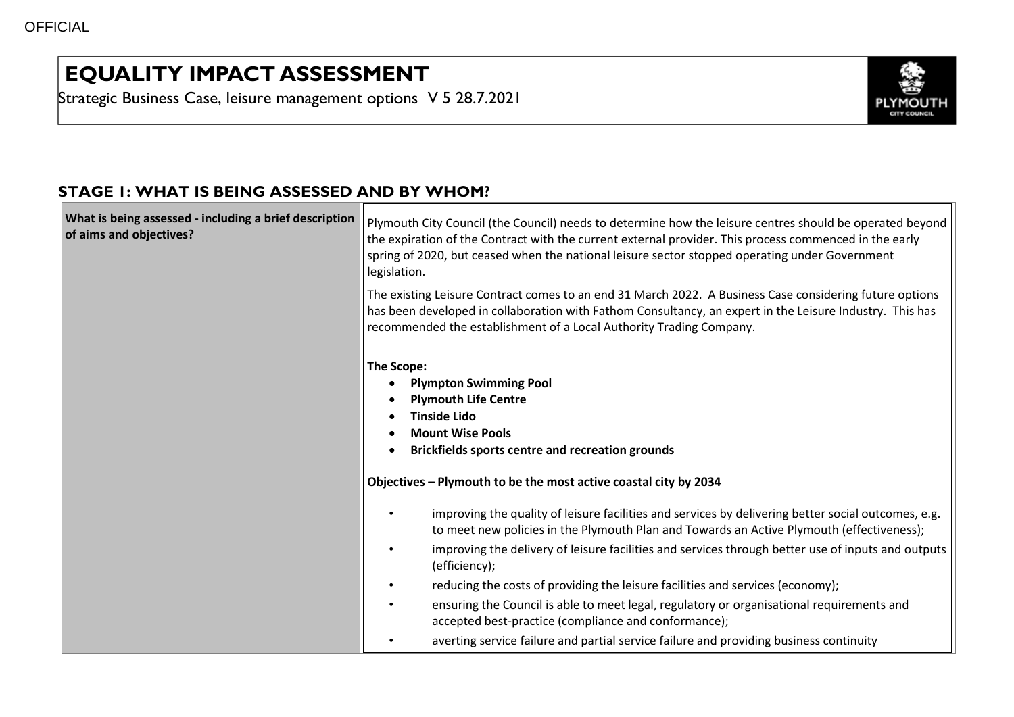## **EQUALITY IMPACT ASSESSMENT**

Strategic Business Case, leisure management options V 5 28.7.2021



## **STAGE 1: WHAT IS BEING ASSESSED AND BY WHOM?**

| What is being assessed - including a brief description<br>of aims and objectives? | Plymouth City Council (the Council) needs to determine how the leisure centres should be operated beyond<br>the expiration of the Contract with the current external provider. This process commenced in the early<br>spring of 2020, but ceased when the national leisure sector stopped operating under Government<br>legislation.                                                                                                                                                                                                                                                                                                                                                            |
|-----------------------------------------------------------------------------------|-------------------------------------------------------------------------------------------------------------------------------------------------------------------------------------------------------------------------------------------------------------------------------------------------------------------------------------------------------------------------------------------------------------------------------------------------------------------------------------------------------------------------------------------------------------------------------------------------------------------------------------------------------------------------------------------------|
|                                                                                   | The existing Leisure Contract comes to an end 31 March 2022. A Business Case considering future options<br>has been developed in collaboration with Fathom Consultancy, an expert in the Leisure Industry. This has<br>recommended the establishment of a Local Authority Trading Company.                                                                                                                                                                                                                                                                                                                                                                                                      |
|                                                                                   | The Scope:<br><b>Plympton Swimming Pool</b><br><b>Plymouth Life Centre</b><br><b>Tinside Lido</b><br><b>Mount Wise Pools</b><br><b>Brickfields sports centre and recreation grounds</b><br>$\bullet$<br>Objectives - Plymouth to be the most active coastal city by 2034                                                                                                                                                                                                                                                                                                                                                                                                                        |
|                                                                                   | improving the quality of leisure facilities and services by delivering better social outcomes, e.g.<br>to meet new policies in the Plymouth Plan and Towards an Active Plymouth (effectiveness);<br>improving the delivery of leisure facilities and services through better use of inputs and outputs<br>$\bullet$<br>(efficiency);<br>reducing the costs of providing the leisure facilities and services (economy);<br>$\bullet$<br>ensuring the Council is able to meet legal, regulatory or organisational requirements and<br>$\bullet$<br>accepted best-practice (compliance and conformance);<br>averting service failure and partial service failure and providing business continuity |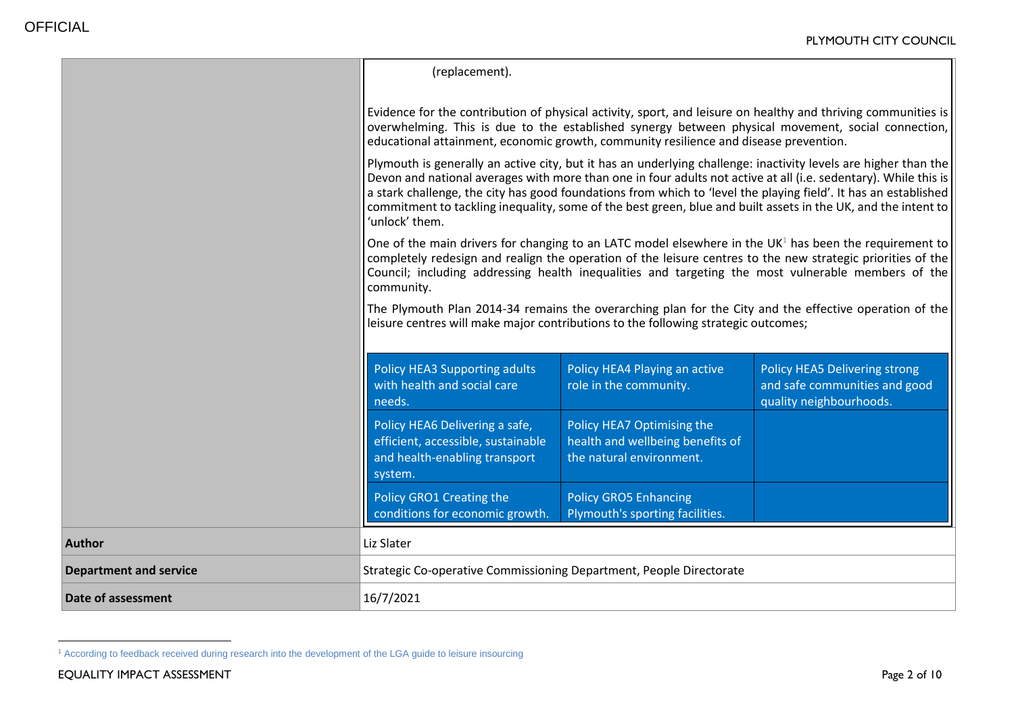|                               | (replacement).                                                                                                                                                                                                                                                                                                                                                                                                                                                                           |                                                                 |                                                                                           |  |  |
|-------------------------------|------------------------------------------------------------------------------------------------------------------------------------------------------------------------------------------------------------------------------------------------------------------------------------------------------------------------------------------------------------------------------------------------------------------------------------------------------------------------------------------|-----------------------------------------------------------------|-------------------------------------------------------------------------------------------|--|--|
|                               | Evidence for the contribution of physical activity, sport, and leisure on healthy and thriving communities is<br>overwhelming. This is due to the established synergy between physical movement, social connection,<br>educational attainment, economic growth, community resilience and disease prevention.                                                                                                                                                                             |                                                                 |                                                                                           |  |  |
|                               | Plymouth is generally an active city, but it has an underlying challenge: inactivity levels are higher than the<br>Devon and national averages with more than one in four adults not active at all (i.e. sedentary). While this is<br>a stark challenge, the city has good foundations from which to 'level the playing field'. It has an established<br>commitment to tackling inequality, some of the best green, blue and built assets in the UK, and the intent to<br>'unlock' them. |                                                                 |                                                                                           |  |  |
|                               | One of the main drivers for changing to an LATC model elsewhere in the UK <sup>1</sup> has been the requirement to<br>completely redesign and realign the operation of the leisure centres to the new strategic priorities of the<br>Council; including addressing health inequalities and targeting the most vulnerable members of the<br>community.                                                                                                                                    |                                                                 |                                                                                           |  |  |
|                               | The Plymouth Plan 2014-34 remains the overarching plan for the City and the effective operation of the<br>leisure centres will make major contributions to the following strategic outcomes;                                                                                                                                                                                                                                                                                             |                                                                 |                                                                                           |  |  |
|                               | Policy HEA3 Supporting adults<br>with health and social care<br>needs.                                                                                                                                                                                                                                                                                                                                                                                                                   | Policy HEA4 Playing an active<br>role in the community.         | Policy HEA5 Delivering strong<br>and safe communities and good<br>quality neighbourhoods. |  |  |
|                               | Policy HEA6 Delivering a safe,<br>Policy HEA7 Optimising the<br>health and wellbeing benefits of<br>efficient, accessible, sustainable<br>and health-enabling transport<br>the natural environment.<br>system.                                                                                                                                                                                                                                                                           |                                                                 |                                                                                           |  |  |
|                               | Policy GRO1 Creating the<br>conditions for economic growth.                                                                                                                                                                                                                                                                                                                                                                                                                              | <b>Policy GRO5 Enhancing</b><br>Plymouth's sporting facilities. |                                                                                           |  |  |
| <b>Author</b>                 | Liz Slater                                                                                                                                                                                                                                                                                                                                                                                                                                                                               |                                                                 |                                                                                           |  |  |
| <b>Department and service</b> | Strategic Co-operative Commissioning Department, People Directorate                                                                                                                                                                                                                                                                                                                                                                                                                      |                                                                 |                                                                                           |  |  |
| Date of assessment            | 16/7/2021                                                                                                                                                                                                                                                                                                                                                                                                                                                                                |                                                                 |                                                                                           |  |  |

 $\overline{a}$ 

<sup>1</sup> According to feedback received during research into the development of the LGA guide to leisure insourcing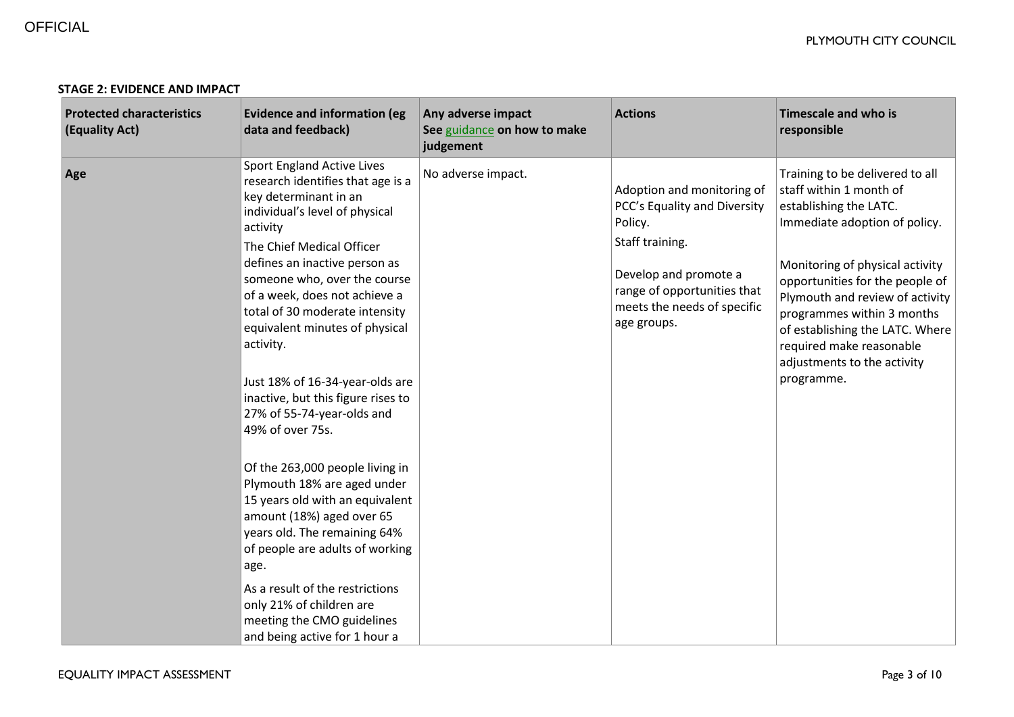| <b>Protected characteristics</b><br>(Equality Act) | <b>Evidence and information (eg</b><br>data and feedback)                                                                                                                                                                                                                                                                                                                                                                                                                                                                                                                                                                                                                                                                                                                                                                           | Any adverse impact<br>See guidance on how to make<br>judgement | <b>Actions</b>                                                                                                                                                                                 | <b>Timescale and who is</b><br>responsible                                                                                                                                                                                                                                                                                                                               |
|----------------------------------------------------|-------------------------------------------------------------------------------------------------------------------------------------------------------------------------------------------------------------------------------------------------------------------------------------------------------------------------------------------------------------------------------------------------------------------------------------------------------------------------------------------------------------------------------------------------------------------------------------------------------------------------------------------------------------------------------------------------------------------------------------------------------------------------------------------------------------------------------------|----------------------------------------------------------------|------------------------------------------------------------------------------------------------------------------------------------------------------------------------------------------------|--------------------------------------------------------------------------------------------------------------------------------------------------------------------------------------------------------------------------------------------------------------------------------------------------------------------------------------------------------------------------|
| Age                                                | <b>Sport England Active Lives</b><br>research identifies that age is a<br>key determinant in an<br>individual's level of physical<br>activity<br>The Chief Medical Officer<br>defines an inactive person as<br>someone who, over the course<br>of a week, does not achieve a<br>total of 30 moderate intensity<br>equivalent minutes of physical<br>activity.<br>Just 18% of 16-34-year-olds are<br>inactive, but this figure rises to<br>27% of 55-74-year-olds and<br>49% of over 75s.<br>Of the 263,000 people living in<br>Plymouth 18% are aged under<br>15 years old with an equivalent<br>amount (18%) aged over 65<br>years old. The remaining 64%<br>of people are adults of working<br>age.<br>As a result of the restrictions<br>only 21% of children are<br>meeting the CMO guidelines<br>and being active for 1 hour a | No adverse impact.                                             | Adoption and monitoring of<br>PCC's Equality and Diversity<br>Policy.<br>Staff training.<br>Develop and promote a<br>range of opportunities that<br>meets the needs of specific<br>age groups. | Training to be delivered to all<br>staff within 1 month of<br>establishing the LATC.<br>Immediate adoption of policy.<br>Monitoring of physical activity<br>opportunities for the people of<br>Plymouth and review of activity<br>programmes within 3 months<br>of establishing the LATC. Where<br>required make reasonable<br>adjustments to the activity<br>programme. |

## **STAGE 2: EVIDENCE AND IMPACT**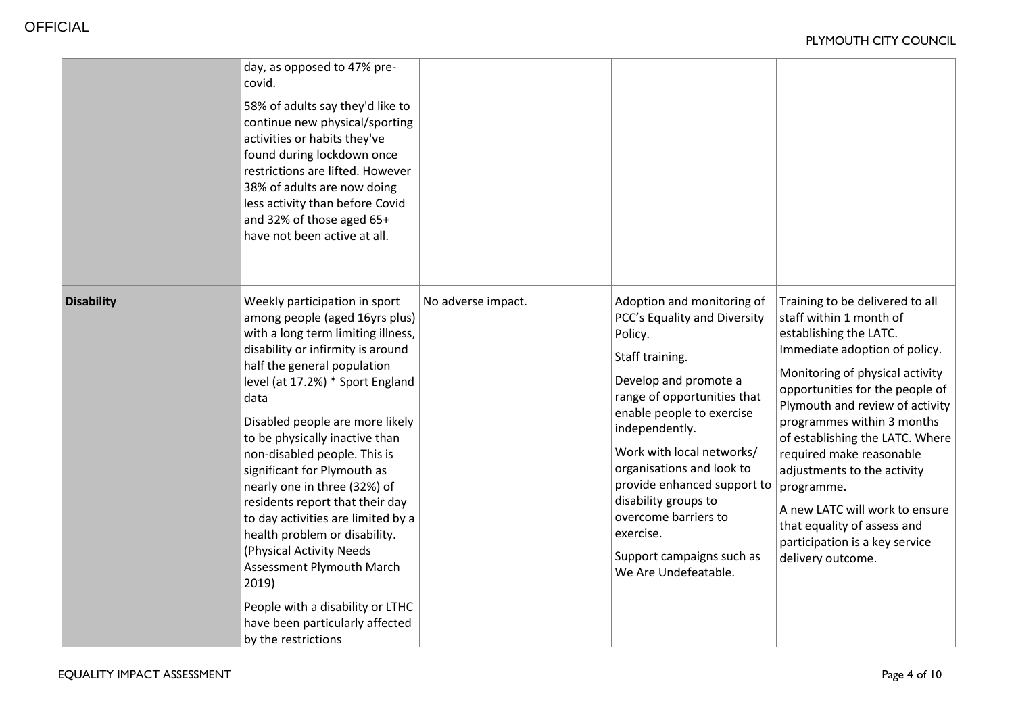|                   | day, as opposed to 47% pre-<br>covid.<br>58% of adults say they'd like to<br>continue new physical/sporting<br>activities or habits they've<br>found during lockdown once<br>restrictions are lifted. However<br>38% of adults are now doing<br>less activity than before Covid<br>and 32% of those aged 65+<br>have not been active at all.                                                                                                                                                                                                                                                                                                                        |                    |                                                                                                                                                                                                                                                                                                                                                                                                            |                                                                                                                                                                                                                                                                                                                                                                                                                                                                                                  |
|-------------------|---------------------------------------------------------------------------------------------------------------------------------------------------------------------------------------------------------------------------------------------------------------------------------------------------------------------------------------------------------------------------------------------------------------------------------------------------------------------------------------------------------------------------------------------------------------------------------------------------------------------------------------------------------------------|--------------------|------------------------------------------------------------------------------------------------------------------------------------------------------------------------------------------------------------------------------------------------------------------------------------------------------------------------------------------------------------------------------------------------------------|--------------------------------------------------------------------------------------------------------------------------------------------------------------------------------------------------------------------------------------------------------------------------------------------------------------------------------------------------------------------------------------------------------------------------------------------------------------------------------------------------|
| <b>Disability</b> | Weekly participation in sport<br>among people (aged 16yrs plus)<br>with a long term limiting illness,<br>disability or infirmity is around<br>half the general population<br>level (at 17.2%) * Sport England<br>data<br>Disabled people are more likely<br>to be physically inactive than<br>non-disabled people. This is<br>significant for Plymouth as<br>nearly one in three (32%) of<br>residents report that their day<br>to day activities are limited by a<br>health problem or disability.<br>(Physical Activity Needs<br>Assessment Plymouth March<br>2019)<br>People with a disability or LTHC<br>have been particularly affected<br>by the restrictions | No adverse impact. | Adoption and monitoring of<br>PCC's Equality and Diversity<br>Policy.<br>Staff training.<br>Develop and promote a<br>range of opportunities that<br>enable people to exercise<br>independently.<br>Work with local networks/<br>organisations and look to<br>provide enhanced support to<br>disability groups to<br>overcome barriers to<br>exercise.<br>Support campaigns such as<br>We Are Undefeatable. | Training to be delivered to all<br>staff within 1 month of<br>establishing the LATC.<br>Immediate adoption of policy.<br>Monitoring of physical activity<br>opportunities for the people of<br>Plymouth and review of activity<br>programmes within 3 months<br>of establishing the LATC. Where<br>required make reasonable<br>adjustments to the activity<br>programme.<br>A new LATC will work to ensure<br>that equality of assess and<br>participation is a key service<br>delivery outcome. |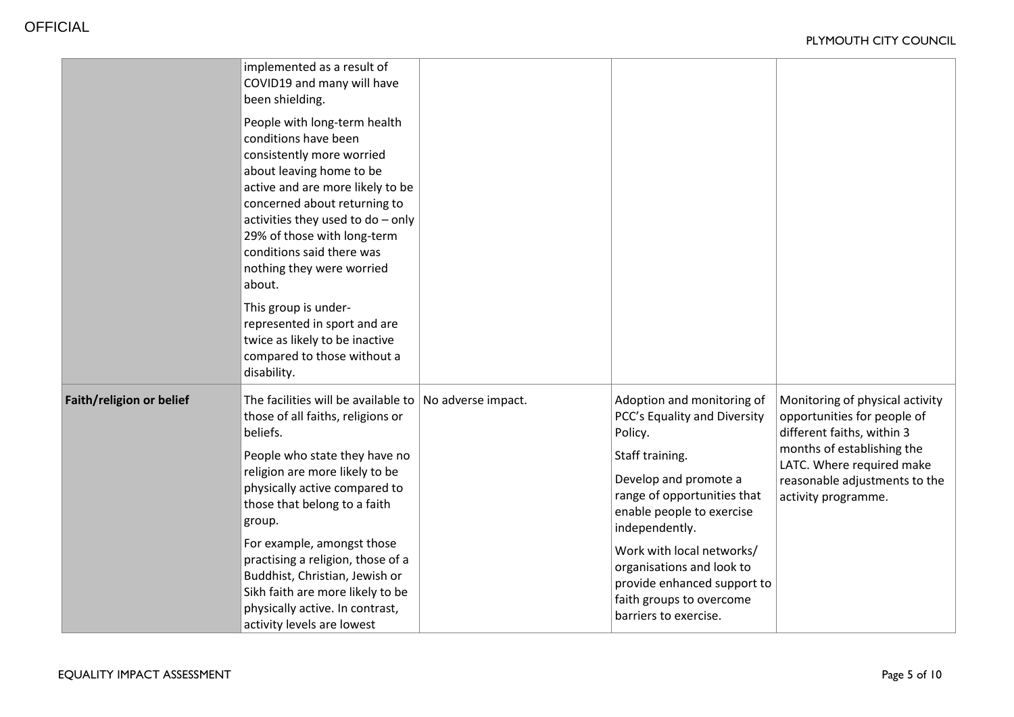|                          | implemented as a result of<br>COVID19 and many will have<br>been shielding.<br>People with long-term health<br>conditions have been<br>consistently more worried<br>about leaving home to be<br>active and are more likely to be<br>concerned about returning to<br>activities they used to $do - only$<br>29% of those with long-term<br>conditions said there was<br>nothing they were worried<br>about.<br>This group is under-<br>represented in sport and are<br>twice as likely to be inactive<br>compared to those without a<br>disability. |                                                                                                                                                                                                                                                                                                                                               |                                                                                                                                                                                                                 |
|--------------------------|----------------------------------------------------------------------------------------------------------------------------------------------------------------------------------------------------------------------------------------------------------------------------------------------------------------------------------------------------------------------------------------------------------------------------------------------------------------------------------------------------------------------------------------------------|-----------------------------------------------------------------------------------------------------------------------------------------------------------------------------------------------------------------------------------------------------------------------------------------------------------------------------------------------|-----------------------------------------------------------------------------------------------------------------------------------------------------------------------------------------------------------------|
| Faith/religion or belief | The facilities will be available to $ $ No adverse impact.<br>those of all faiths, religions or<br>beliefs.<br>People who state they have no<br>religion are more likely to be<br>physically active compared to<br>those that belong to a faith<br>group.<br>For example, amongst those<br>practising a religion, those of a<br>Buddhist, Christian, Jewish or<br>Sikh faith are more likely to be<br>physically active. In contrast,<br>activity levels are lowest                                                                                | Adoption and monitoring of<br>PCC's Equality and Diversity<br>Policy.<br>Staff training.<br>Develop and promote a<br>range of opportunities that<br>enable people to exercise<br>independently.<br>Work with local networks/<br>organisations and look to<br>provide enhanced support to<br>faith groups to overcome<br>barriers to exercise. | Monitoring of physical activity<br>opportunities for people of<br>different faiths, within 3<br>months of establishing the<br>LATC. Where required make<br>reasonable adjustments to the<br>activity programme. |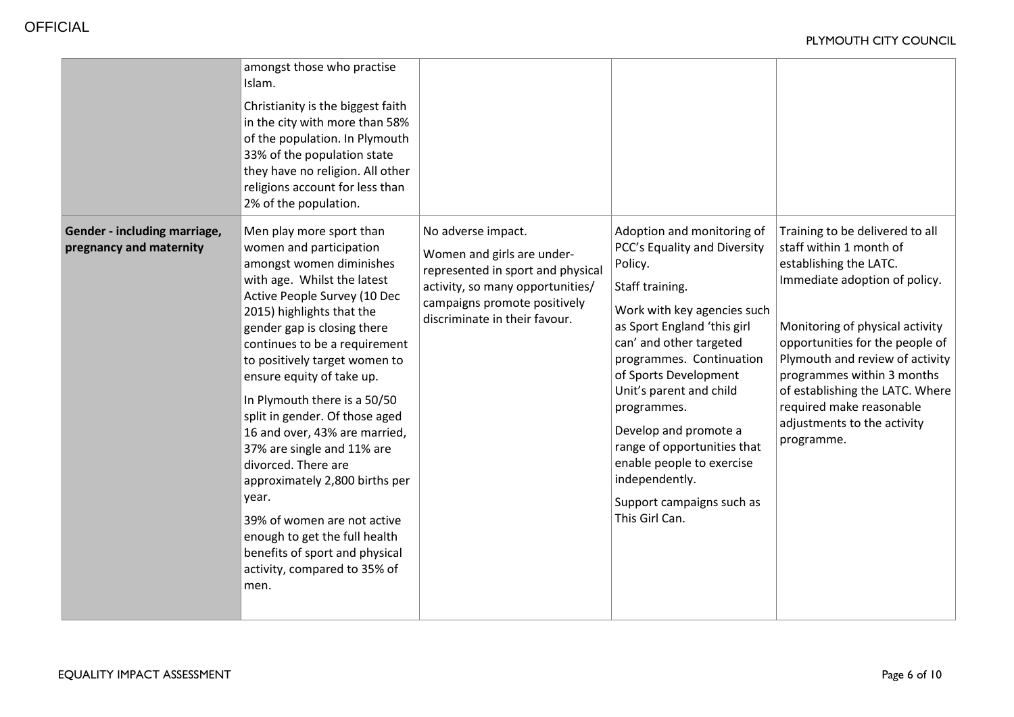|                                                         | amongst those who practise<br>Islam.<br>Christianity is the biggest faith<br>in the city with more than 58%<br>of the population. In Plymouth<br>33% of the population state<br>they have no religion. All other<br>religions account for less than<br>2% of the population.                                                                                                                                                                                                                                                                                                                                                                           |                                                                                                                                                                                            |                                                                                                                                                                                                                                                                                                                                                                                                                                        |                                                                                                                                                                                                                                                                                                                                                                          |
|---------------------------------------------------------|--------------------------------------------------------------------------------------------------------------------------------------------------------------------------------------------------------------------------------------------------------------------------------------------------------------------------------------------------------------------------------------------------------------------------------------------------------------------------------------------------------------------------------------------------------------------------------------------------------------------------------------------------------|--------------------------------------------------------------------------------------------------------------------------------------------------------------------------------------------|----------------------------------------------------------------------------------------------------------------------------------------------------------------------------------------------------------------------------------------------------------------------------------------------------------------------------------------------------------------------------------------------------------------------------------------|--------------------------------------------------------------------------------------------------------------------------------------------------------------------------------------------------------------------------------------------------------------------------------------------------------------------------------------------------------------------------|
| Gender - including marriage,<br>pregnancy and maternity | Men play more sport than<br>women and participation<br>amongst women diminishes<br>with age. Whilst the latest<br>Active People Survey (10 Dec<br>2015) highlights that the<br>gender gap is closing there<br>continues to be a requirement<br>to positively target women to<br>ensure equity of take up.<br>In Plymouth there is a 50/50<br>split in gender. Of those aged<br>16 and over, 43% are married,<br>37% are single and 11% are<br>divorced. There are<br>approximately 2,800 births per<br>year.<br>39% of women are not active<br>enough to get the full health<br>benefits of sport and physical<br>activity, compared to 35% of<br>men. | No adverse impact.<br>Women and girls are under-<br>represented in sport and physical<br>activity, so many opportunities/<br>campaigns promote positively<br>discriminate in their favour. | Adoption and monitoring of<br>PCC's Equality and Diversity<br>Policy.<br>Staff training.<br>Work with key agencies such<br>as Sport England 'this girl<br>can' and other targeted<br>programmes. Continuation<br>of Sports Development<br>Unit's parent and child<br>programmes.<br>Develop and promote a<br>range of opportunities that<br>enable people to exercise<br>independently.<br>Support campaigns such as<br>This Girl Can. | Training to be delivered to all<br>staff within 1 month of<br>establishing the LATC.<br>Immediate adoption of policy.<br>Monitoring of physical activity<br>opportunities for the people of<br>Plymouth and review of activity<br>programmes within 3 months<br>of establishing the LATC. Where<br>required make reasonable<br>adjustments to the activity<br>programme. |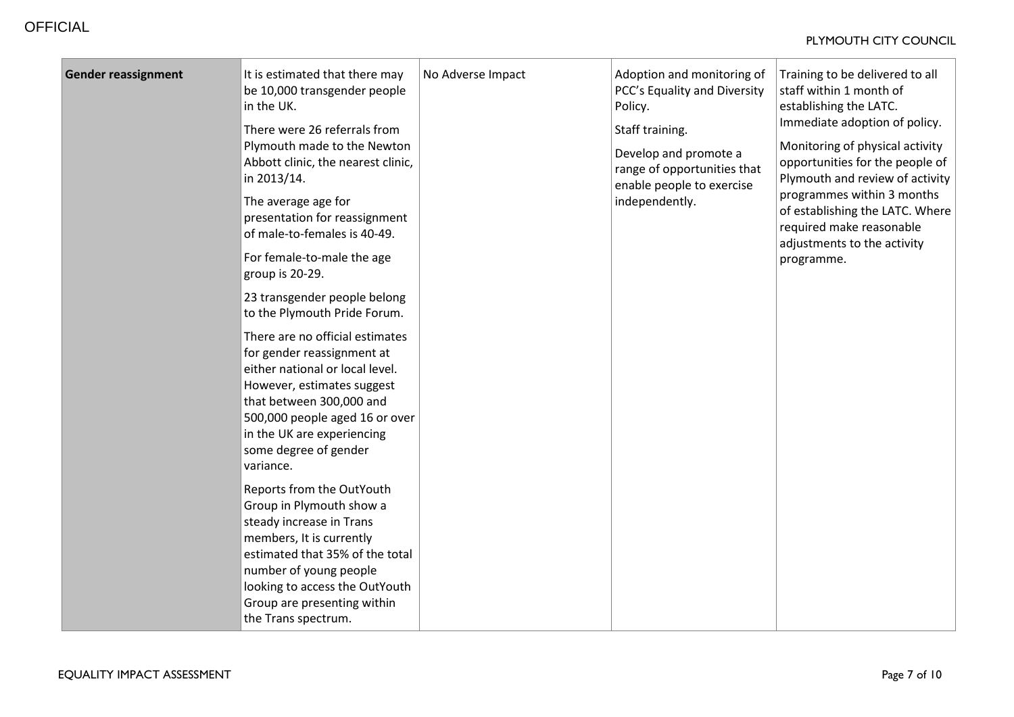| <b>Gender reassignment</b> | It is estimated that there may<br>be 10,000 transgender people<br>in the UK.<br>There were 26 referrals from<br>Plymouth made to the Newton<br>Abbott clinic, the nearest clinic,<br>in 2013/14.<br>The average age for<br>presentation for reassignment<br>of male-to-females is 40-49.<br>For female-to-male the age<br>group is 20-29.<br>23 transgender people belong<br>to the Plymouth Pride Forum.<br>There are no official estimates<br>for gender reassignment at<br>either national or local level.<br>However, estimates suggest<br>that between 300,000 and<br>500,000 people aged 16 or over<br>in the UK are experiencing<br>some degree of gender<br>variance.<br>Reports from the OutYouth<br>Group in Plymouth show a | No Adverse Impact | Adoption and monitoring of<br>PCC's Equality and Diversity<br>Policy.<br>Staff training.<br>Develop and promote a<br>range of opportunities that<br>enable people to exercise<br>independently. | Training to be delivered to all<br>staff within 1 month of<br>establishing the LATC.<br>Immediate adoption of policy.<br>Monitoring of physical activity<br>opportunities for the people of<br>Plymouth and review of activity<br>programmes within 3 months<br>of establishing the LATC. Where<br>required make reasonable<br>adjustments to the activity<br>programme. |
|----------------------------|----------------------------------------------------------------------------------------------------------------------------------------------------------------------------------------------------------------------------------------------------------------------------------------------------------------------------------------------------------------------------------------------------------------------------------------------------------------------------------------------------------------------------------------------------------------------------------------------------------------------------------------------------------------------------------------------------------------------------------------|-------------------|-------------------------------------------------------------------------------------------------------------------------------------------------------------------------------------------------|--------------------------------------------------------------------------------------------------------------------------------------------------------------------------------------------------------------------------------------------------------------------------------------------------------------------------------------------------------------------------|
|                            | steady increase in Trans<br>members, It is currently<br>estimated that 35% of the total<br>number of young people<br>looking to access the OutYouth<br>Group are presenting within                                                                                                                                                                                                                                                                                                                                                                                                                                                                                                                                                     |                   |                                                                                                                                                                                                 |                                                                                                                                                                                                                                                                                                                                                                          |
|                            | the Trans spectrum.                                                                                                                                                                                                                                                                                                                                                                                                                                                                                                                                                                                                                                                                                                                    |                   |                                                                                                                                                                                                 |                                                                                                                                                                                                                                                                                                                                                                          |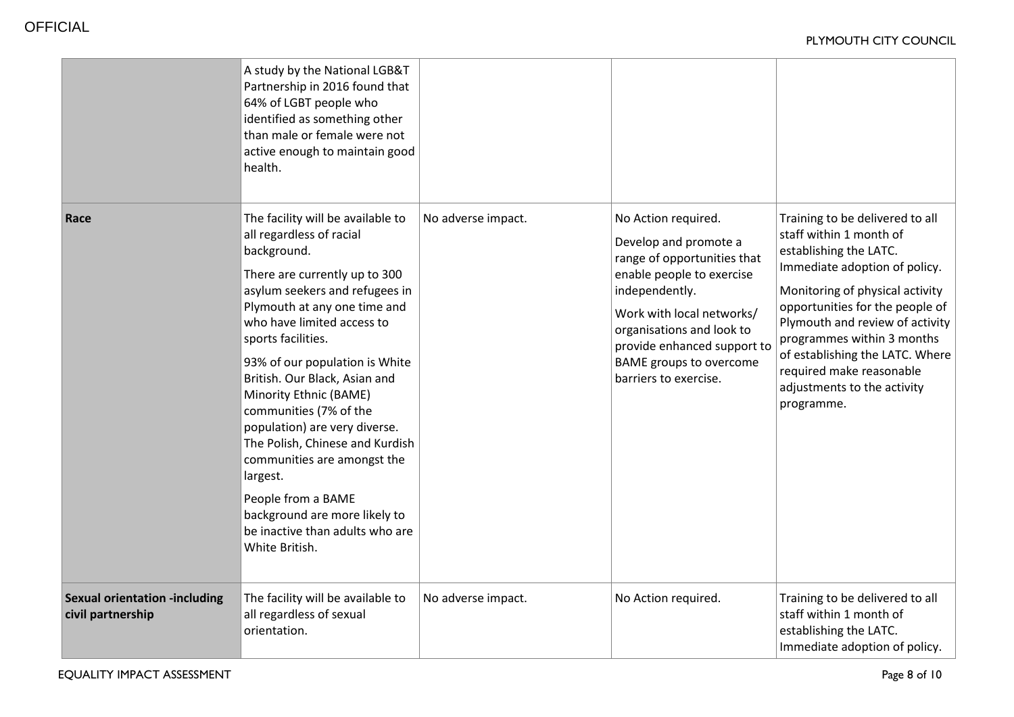|                                                           | A study by the National LGB&T<br>Partnership in 2016 found that<br>64% of LGBT people who<br>identified as something other<br>than male or female were not<br>active enough to maintain good<br>health.                                                                                                                                                                                                                                                                                                                                                                               |                    |                                                                                                                                                                                                                                                                                |                                                                                                                                                                                                                                                                                                                                                                          |
|-----------------------------------------------------------|---------------------------------------------------------------------------------------------------------------------------------------------------------------------------------------------------------------------------------------------------------------------------------------------------------------------------------------------------------------------------------------------------------------------------------------------------------------------------------------------------------------------------------------------------------------------------------------|--------------------|--------------------------------------------------------------------------------------------------------------------------------------------------------------------------------------------------------------------------------------------------------------------------------|--------------------------------------------------------------------------------------------------------------------------------------------------------------------------------------------------------------------------------------------------------------------------------------------------------------------------------------------------------------------------|
| Race                                                      | The facility will be available to<br>all regardless of racial<br>background.<br>There are currently up to 300<br>asylum seekers and refugees in<br>Plymouth at any one time and<br>who have limited access to<br>sports facilities.<br>93% of our population is White<br>British. Our Black, Asian and<br>Minority Ethnic (BAME)<br>communities (7% of the<br>population) are very diverse.<br>The Polish, Chinese and Kurdish<br>communities are amongst the<br>largest.<br>People from a BAME<br>background are more likely to<br>be inactive than adults who are<br>White British. | No adverse impact. | No Action required.<br>Develop and promote a<br>range of opportunities that<br>enable people to exercise<br>independently.<br>Work with local networks/<br>organisations and look to<br>provide enhanced support to<br><b>BAME</b> groups to overcome<br>barriers to exercise. | Training to be delivered to all<br>staff within 1 month of<br>establishing the LATC.<br>Immediate adoption of policy.<br>Monitoring of physical activity<br>opportunities for the people of<br>Plymouth and review of activity<br>programmes within 3 months<br>of establishing the LATC. Where<br>required make reasonable<br>adjustments to the activity<br>programme. |
| <b>Sexual orientation -including</b><br>civil partnership | The facility will be available to<br>all regardless of sexual<br>orientation.                                                                                                                                                                                                                                                                                                                                                                                                                                                                                                         | No adverse impact. | No Action required.                                                                                                                                                                                                                                                            | Training to be delivered to all<br>staff within 1 month of<br>establishing the LATC.<br>Immediate adoption of policy.                                                                                                                                                                                                                                                    |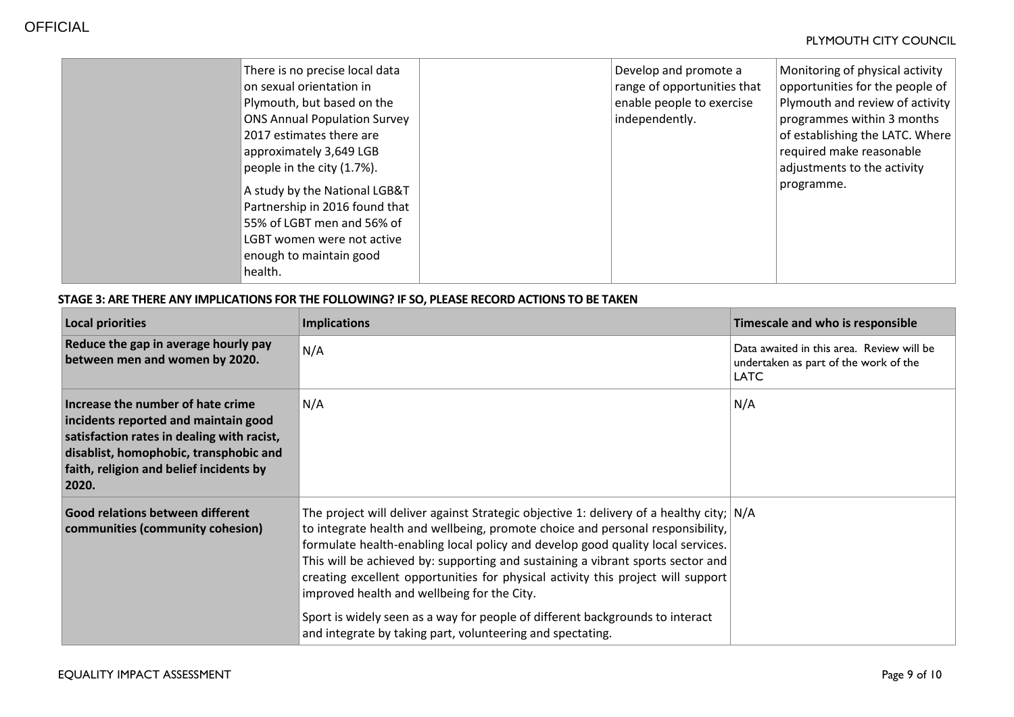| There is no precise local data<br>on sexual orientation in<br>Plymouth, but based on the<br><b>ONS Annual Population Survey</b><br>2017 estimates there are<br>approximately 3,649 LGB<br>people in the city (1.7%).<br>A study by the National LGB&T<br>Partnership in 2016 found that<br>55% of LGBT men and 56% of<br>LGBT women were not active<br>enough to maintain good | Develop and promote a<br>range of opportunities that<br>enable people to exercise<br>independently. | Monitoring of physical activity<br>opportunities for the people of<br>Plymouth and review of activity<br>programmes within 3 months<br>of establishing the LATC. Where<br>required make reasonable<br>adjustments to the activity<br>programme. |
|--------------------------------------------------------------------------------------------------------------------------------------------------------------------------------------------------------------------------------------------------------------------------------------------------------------------------------------------------------------------------------|-----------------------------------------------------------------------------------------------------|-------------------------------------------------------------------------------------------------------------------------------------------------------------------------------------------------------------------------------------------------|
|--------------------------------------------------------------------------------------------------------------------------------------------------------------------------------------------------------------------------------------------------------------------------------------------------------------------------------------------------------------------------------|-----------------------------------------------------------------------------------------------------|-------------------------------------------------------------------------------------------------------------------------------------------------------------------------------------------------------------------------------------------------|

## **STAGE 3: ARE THERE ANY IMPLICATIONS FOR THE FOLLOWING? IF SO, PLEASE RECORD ACTIONS TO BE TAKEN**

| <b>Local priorities</b>                                                                                                                                                                                               | <b>Implications</b>                                                                                                                                                                                                                                                                                                                                                                                                                                                                                                                                                                                                                 | Timescale and who is responsible                                                                  |
|-----------------------------------------------------------------------------------------------------------------------------------------------------------------------------------------------------------------------|-------------------------------------------------------------------------------------------------------------------------------------------------------------------------------------------------------------------------------------------------------------------------------------------------------------------------------------------------------------------------------------------------------------------------------------------------------------------------------------------------------------------------------------------------------------------------------------------------------------------------------------|---------------------------------------------------------------------------------------------------|
| Reduce the gap in average hourly pay<br>between men and women by 2020.                                                                                                                                                | N/A                                                                                                                                                                                                                                                                                                                                                                                                                                                                                                                                                                                                                                 | Data awaited in this area. Review will be<br>undertaken as part of the work of the<br><b>LATC</b> |
| Increase the number of hate crime<br>incidents reported and maintain good<br>satisfaction rates in dealing with racist,<br>disablist, homophobic, transphobic and<br>faith, religion and belief incidents by<br>2020. | N/A                                                                                                                                                                                                                                                                                                                                                                                                                                                                                                                                                                                                                                 | N/A                                                                                               |
| Good relations between different<br>communities (community cohesion)                                                                                                                                                  | The project will deliver against Strategic objective 1: delivery of a healthy city; $N/A$<br>to integrate health and wellbeing, promote choice and personal responsibility,<br>formulate health-enabling local policy and develop good quality local services.<br>This will be achieved by: supporting and sustaining a vibrant sports sector and<br>creating excellent opportunities for physical activity this project will support<br>improved health and wellbeing for the City.<br>Sport is widely seen as a way for people of different backgrounds to interact<br>and integrate by taking part, volunteering and spectating. |                                                                                                   |